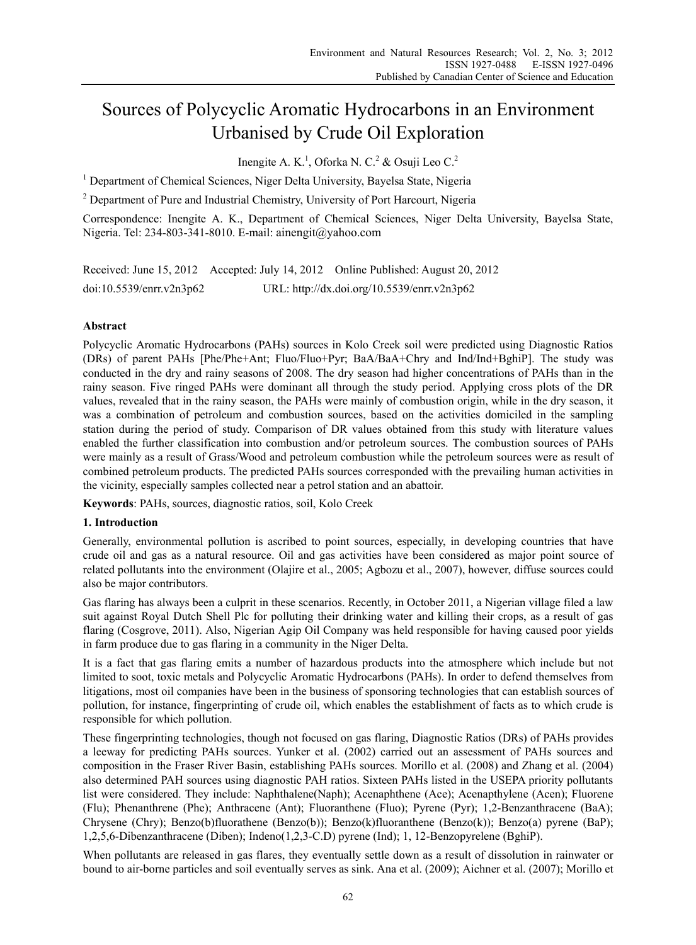# Sources of Polycyclic Aromatic Hydrocarbons in an Environment Urbanised by Crude Oil Exploration

Inengite A. K.<sup>1</sup>, Oforka N. C.<sup>2</sup> & Osuji Leo C.<sup>2</sup>

<sup>1</sup> Department of Chemical Sciences, Niger Delta University, Bayelsa State, Nigeria

<sup>2</sup> Department of Pure and Industrial Chemistry, University of Port Harcourt, Nigeria

Correspondence: Inengite A. K., Department of Chemical Sciences, Niger Delta University, Bayelsa State, Nigeria. Tel: 234-803-341-8010. E-mail: ainengit@yahoo.com

Received: June 15, 2012 Accepted: July 14, 2012 Online Published: August 20, 2012 doi:10.5539/enrr.v2n3p62 URL: http://dx.doi.org/10.5539/enrr.v2n3p62

## **Abstract**

Polycyclic Aromatic Hydrocarbons (PAHs) sources in Kolo Creek soil were predicted using Diagnostic Ratios (DRs) of parent PAHs [Phe/Phe+Ant; Fluo/Fluo+Pyr; BaA/BaA+Chry and Ind/Ind+BghiP]. The study was conducted in the dry and rainy seasons of 2008. The dry season had higher concentrations of PAHs than in the rainy season. Five ringed PAHs were dominant all through the study period. Applying cross plots of the DR values, revealed that in the rainy season, the PAHs were mainly of combustion origin, while in the dry season, it was a combination of petroleum and combustion sources, based on the activities domiciled in the sampling station during the period of study. Comparison of DR values obtained from this study with literature values enabled the further classification into combustion and/or petroleum sources. The combustion sources of PAHs were mainly as a result of Grass/Wood and petroleum combustion while the petroleum sources were as result of combined petroleum products. The predicted PAHs sources corresponded with the prevailing human activities in the vicinity, especially samples collected near a petrol station and an abattoir.

**Keywords**: PAHs, sources, diagnostic ratios, soil, Kolo Creek

## **1. Introduction**

Generally, environmental pollution is ascribed to point sources, especially, in developing countries that have crude oil and gas as a natural resource. Oil and gas activities have been considered as major point source of related pollutants into the environment (Olajire et al., 2005; Agbozu et al., 2007), however, diffuse sources could also be major contributors.

Gas flaring has always been a culprit in these scenarios. Recently, in October 2011, a Nigerian village filed a law suit against Royal Dutch Shell Plc for polluting their drinking water and killing their crops, as a result of gas flaring (Cosgrove, 2011). Also, Nigerian Agip Oil Company was held responsible for having caused poor yields in farm produce due to gas flaring in a community in the Niger Delta.

It is a fact that gas flaring emits a number of hazardous products into the atmosphere which include but not limited to soot, toxic metals and Polycyclic Aromatic Hydrocarbons (PAHs). In order to defend themselves from litigations, most oil companies have been in the business of sponsoring technologies that can establish sources of pollution, for instance, fingerprinting of crude oil, which enables the establishment of facts as to which crude is responsible for which pollution.

These fingerprinting technologies, though not focused on gas flaring, Diagnostic Ratios (DRs) of PAHs provides a leeway for predicting PAHs sources. Yunker et al. (2002) carried out an assessment of PAHs sources and composition in the Fraser River Basin, establishing PAHs sources. Morillo et al. (2008) and Zhang et al. (2004) also determined PAH sources using diagnostic PAH ratios. Sixteen PAHs listed in the USEPA priority pollutants list were considered. They include: Naphthalene(Naph); Acenaphthene (Ace); Acenapthylene (Acen); Fluorene (Flu); Phenanthrene (Phe); Anthracene (Ant); Fluoranthene (Fluo); Pyrene (Pyr); 1,2-Benzanthracene (BaA); Chrysene (Chry); Benzo(b)fluorathene (Benzo(b)); Benzo(k)fluoranthene (Benzo(k)); Benzo(a) pyrene (BaP); 1,2,5,6-Dibenzanthracene (Diben); Indeno(1,2,3-C.D) pyrene (Ind); 1, 12-Benzopyrelene (BghiP).

When pollutants are released in gas flares, they eventually settle down as a result of dissolution in rainwater or bound to air-borne particles and soil eventually serves as sink. Ana et al. (2009); Aichner et al. (2007); Morillo et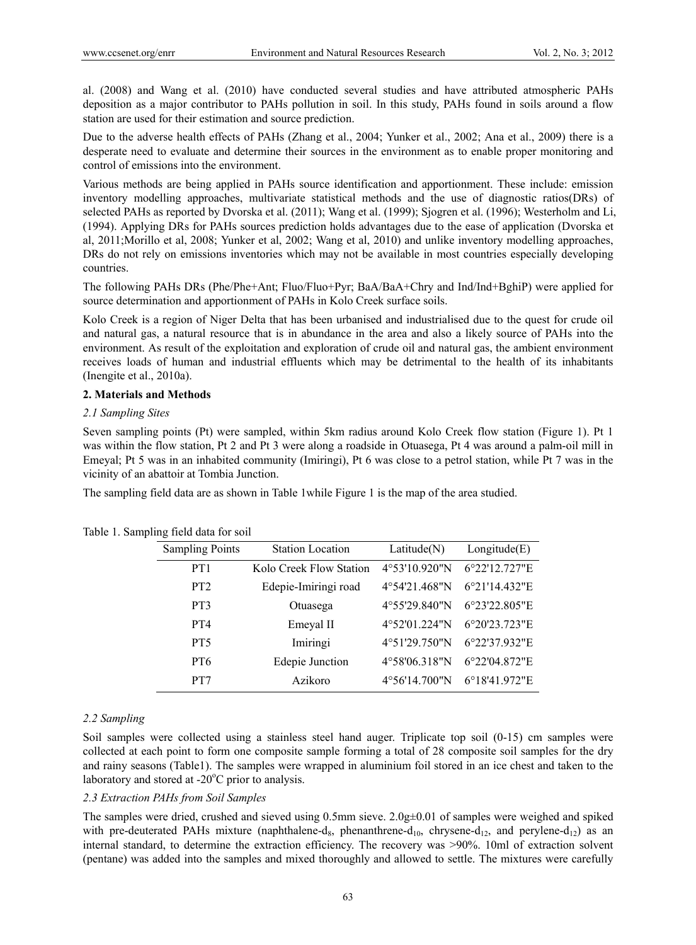al. (2008) and Wang et al. (2010) have conducted several studies and have attributed atmospheric PAHs deposition as a major contributor to PAHs pollution in soil. In this study, PAHs found in soils around a flow station are used for their estimation and source prediction.

Due to the adverse health effects of PAHs (Zhang et al., 2004; Yunker et al., 2002; Ana et al., 2009) there is a desperate need to evaluate and determine their sources in the environment as to enable proper monitoring and control of emissions into the environment.

Various methods are being applied in PAHs source identification and apportionment. These include: emission inventory modelling approaches, multivariate statistical methods and the use of diagnostic ratios(DRs) of selected PAHs as reported by Dvorska et al. (2011); Wang et al. (1999); Sjogren et al. (1996); Westerholm and Li, (1994). Applying DRs for PAHs sources prediction holds advantages due to the ease of application (Dvorska et al, 2011;Morillo et al, 2008; Yunker et al, 2002; Wang et al, 2010) and unlike inventory modelling approaches, DRs do not rely on emissions inventories which may not be available in most countries especially developing countries.

The following PAHs DRs (Phe/Phe+Ant; Fluo/Fluo+Pyr; BaA/BaA+Chry and Ind/Ind+BghiP) were applied for source determination and apportionment of PAHs in Kolo Creek surface soils.

Kolo Creek is a region of Niger Delta that has been urbanised and industrialised due to the quest for crude oil and natural gas, a natural resource that is in abundance in the area and also a likely source of PAHs into the environment. As result of the exploitation and exploration of crude oil and natural gas, the ambient environment receives loads of human and industrial effluents which may be detrimental to the health of its inhabitants (Inengite et al., 2010a).

## **2. Materials and Methods**

## *2.1 Sampling Sites*

Seven sampling points (Pt) were sampled, within 5km radius around Kolo Creek flow station (Figure 1). Pt 1 was within the flow station, Pt 2 and Pt 3 were along a roadside in Otuasega, Pt 4 was around a palm-oil mill in Emeyal; Pt 5 was in an inhabited community (Imiringi), Pt 6 was close to a petrol station, while Pt 7 was in the vicinity of an abattoir at Tombia Junction.

The sampling field data are as shown in Table 1while Figure 1 is the map of the area studied.

| $\mu$ |                        |                         |                         |               |  |  |  |  |  |
|-------|------------------------|-------------------------|-------------------------|---------------|--|--|--|--|--|
|       | <b>Sampling Points</b> | <b>Station Location</b> | Latitude(N)             | Longitude(E)  |  |  |  |  |  |
|       | PT1                    | Kolo Creek Flow Station | 4°53'10.920"N           | 6°22'12.727"E |  |  |  |  |  |
|       | PT <sub>2</sub>        | Edepie-Imiringi road    | 4°54'21.468"N           | 6°21'14.432"E |  |  |  |  |  |
|       | PT <sub>3</sub>        | Otuasega                | 4°55'29.840"N           | 6°23'22.805"E |  |  |  |  |  |
|       | PT <sub>4</sub>        | Emeyal II               | 4°52'01.224"N           | 6°20'23.723"E |  |  |  |  |  |
|       | PT <sub>5</sub>        | Imiringi                | 4°51'29.750"N           | 6°22'37.932"E |  |  |  |  |  |
|       | PT <sub>6</sub>        | <b>Edepie Junction</b>  | 4°58'06.318"N           | 6°22'04.872"E |  |  |  |  |  |
|       | PT7                    | Azikoro                 | $4^{\circ}56'14.700''N$ | 6°18'41.972"E |  |  |  |  |  |
|       |                        |                         |                         |               |  |  |  |  |  |

## Table 1. Sampling field data for soil

#### *2.2 Sampling*

Soil samples were collected using a stainless steel hand auger. Triplicate top soil (0-15) cm samples were collected at each point to form one composite sample forming a total of 28 composite soil samples for the dry and rainy seasons (Table1). The samples were wrapped in aluminium foil stored in an ice chest and taken to the laboratory and stored at  $-20^{\circ}$ C prior to analysis.

## *2.3 Extraction PAHs from Soil Samples*

The samples were dried, crushed and sieved using 0.5mm sieve. 2.0g±0.01 of samples were weighed and spiked with pre-deuterated PAHs mixture (naphthalene-d<sub>8</sub>, phenanthrene-d<sub>10</sub>, chrysene-d<sub>12</sub>, and perylene-d<sub>12</sub>) as an internal standard, to determine the extraction efficiency. The recovery was >90%. 10ml of extraction solvent (pentane) was added into the samples and mixed thoroughly and allowed to settle. The mixtures were carefully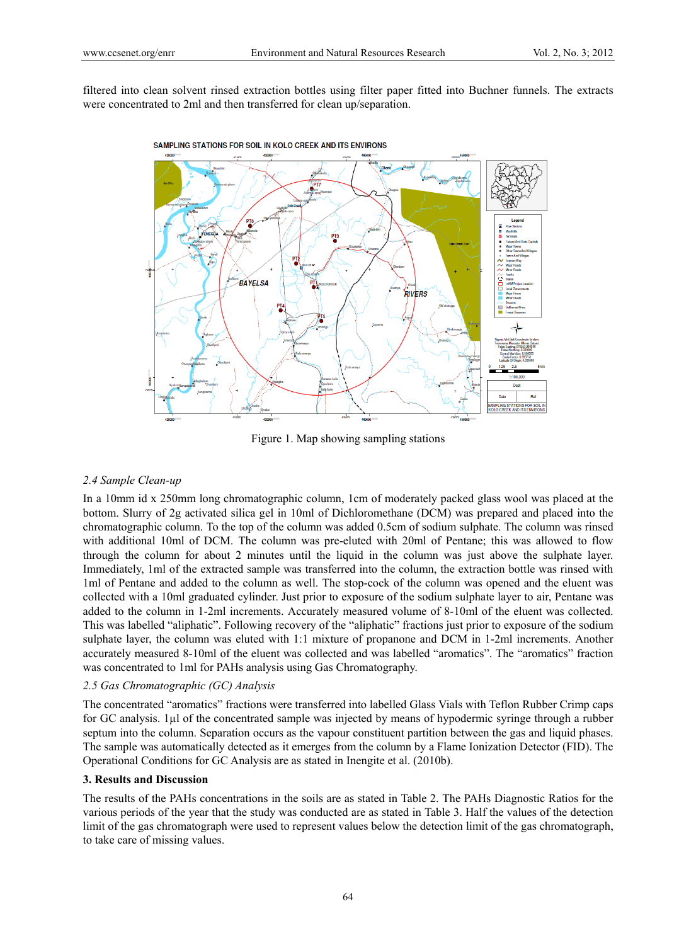filtered into clean solvent rinsed extraction bottles using filter paper fitted into Buchner funnels. The extracts were concentrated to 2ml and then transferred for clean up/separation.



Figure 1. Map showing sampling stations

#### *2.4 Sample Clean-up*

In a 10mm id x 250mm long chromatographic column, 1cm of moderately packed glass wool was placed at the bottom. Slurry of 2g activated silica gel in 10ml of Dichloromethane (DCM) was prepared and placed into the chromatographic column. To the top of the column was added 0.5cm of sodium sulphate. The column was rinsed with additional 10ml of DCM. The column was pre-eluted with 20ml of Pentane; this was allowed to flow through the column for about 2 minutes until the liquid in the column was just above the sulphate layer. Immediately, 1ml of the extracted sample was transferred into the column, the extraction bottle was rinsed with 1ml of Pentane and added to the column as well. The stop-cock of the column was opened and the eluent was collected with a 10ml graduated cylinder. Just prior to exposure of the sodium sulphate layer to air, Pentane was added to the column in 1-2ml increments. Accurately measured volume of 8-10ml of the eluent was collected. This was labelled "aliphatic". Following recovery of the "aliphatic" fractions just prior to exposure of the sodium sulphate layer, the column was eluted with 1:1 mixture of propanone and DCM in 1-2ml increments. Another accurately measured 8-10ml of the eluent was collected and was labelled "aromatics". The "aromatics" fraction was concentrated to 1ml for PAHs analysis using Gas Chromatography.

#### *2.5 Gas Chromatographic (GC) Analysis*

The concentrated "aromatics" fractions were transferred into labelled Glass Vials with Teflon Rubber Crimp caps for GC analysis. 1µl of the concentrated sample was injected by means of hypodermic syringe through a rubber septum into the column. Separation occurs as the vapour constituent partition between the gas and liquid phases. The sample was automatically detected as it emerges from the column by a Flame Ionization Detector (FID). The Operational Conditions for GC Analysis are as stated in Inengite et al. (2010b).

#### **3. Results and Discussion**

The results of the PAHs concentrations in the soils are as stated in Table 2. The PAHs Diagnostic Ratios for the various periods of the year that the study was conducted are as stated in Table 3. Half the values of the detection limit of the gas chromatograph were used to represent values below the detection limit of the gas chromatograph, to take care of missing values.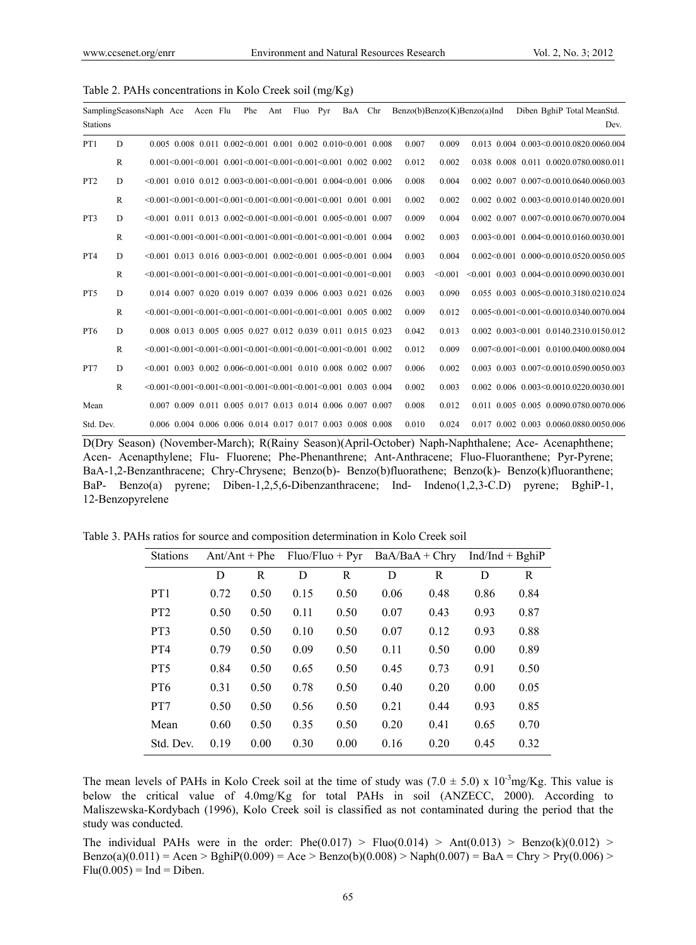## Table 2. PAHs concentrations in Kolo Creek soil (mg/Kg)

|                 |              | SamplingSeasonsNaph Ace | Acen Flu | Phe                                                                                                   | Ant | Fluo Pyr | BaA | Chr |       |         | Benzo(b)Benzo(K)Benzo(a)Ind                          |  | Diben BghiP Total MeanStd. |      |
|-----------------|--------------|-------------------------|----------|-------------------------------------------------------------------------------------------------------|-----|----------|-----|-----|-------|---------|------------------------------------------------------|--|----------------------------|------|
| <b>Stations</b> |              |                         |          |                                                                                                       |     |          |     |     |       |         |                                                      |  |                            | Dev. |
| PT1             | D            |                         |          | $0.005$ $0.008$ $0.011$ $0.002 \le 0.001$ $0.001$ $0.002$ $0.010 \le 0.001$ $0.008$                   |     |          |     |     | 0.007 | 0.009   | 0.013 0.004 0.003<0.0010.0820.0060.004               |  |                            |      |
|                 | $\mathbb{R}$ |                         |          | $0.001 \le 0.001 \le 0.001$ $0.001 \le 0.001 \le 0.001 \le 0.001 \le 0.001$ $0.002$ $0.002$           |     |          |     |     | 0.012 | 0.002   | 0.038 0.008 0.011 0.0020.0780.0080.011               |  |                            |      |
| PT <sub>2</sub> | D            |                         |          | $\leq 0.001$ 0.010 0.012 0.003 $\leq 0.001 \leq 0.001 \leq 0.001$ 0.004 $\leq 0.001$ 0.006            |     |          |     |     | 0.008 | 0.004   | $0.002$ $0.007$ $0.007<0.0010.0640.0060.003$         |  |                            |      |
|                 | $\mathbb{R}$ |                         |          | $\leq 0.001 \leq 0.001 \leq 0.001 \leq 0.001 \leq 0.001 \leq 0.001 \leq 0.001 \leq 0.001$ 0.001 0.001 |     |          |     |     | 0.002 | 0.002   | $0.002$ $0.002$ $0.003 \le 0.0010.0140.0020.001$     |  |                            |      |
| PT3             | D            |                         |          | $\leq 0.001$ 0.011 0.013 0.002 $\leq 0.001 \leq 0.001 \leq 0.001$ 0.005 $\leq 0.001$ 0.007            |     |          |     |     | 0.009 | 0.004   | 0.002 0.007 0.007<0.0010.0670.0070.004               |  |                            |      |
|                 | $\mathbb{R}$ |                         |          | $< 0.001 < 0.001 < 0.001 < 0.001 < 0.001 < 0.001 < 0.001 < 0.001 < 0.001$ (0.004                      |     |          |     |     | 0.002 | 0.003   | $0.003<0.001$ $0.004<0.0010.0160.0030.001$           |  |                            |      |
| PT <sub>4</sub> | D            |                         |          | $\leq 0.001$ 0.013 0.016 0.003 $\leq 0.001$ 0.002 $\leq 0.001$ 0.005 $\leq 0.001$ 0.004               |     |          |     |     | 0.003 | 0.004   | $0.002<0.001$ $0.000<0.0010.0520.0050.005$           |  |                            |      |
|                 | $\mathbb{R}$ |                         |          | $< 0.001 < 0.001 < 0.001 < 0.001 < 0.001 < 0.001 < 0.001 < 0.001 < 0.001 < 0.001$                     |     |          |     |     | 0.003 | < 0.001 | $\leq 0.001$ 0.003 0.004 $\leq 0.0010.0090.0030.001$ |  |                            |      |
| PT5             | D            |                         |          | 0.014 0.007 0.020 0.019 0.007 0.039 0.006 0.003 0.021 0.026                                           |     |          |     |     | 0.003 | 0.090   | 0.055 0.003 0.005<0.0010.3180.0210.024               |  |                            |      |
|                 | $\mathbb{R}$ |                         |          | $\leq 0.001 \leq 0.001 \leq 0.001 \leq 0.001 \leq 0.001 \leq 0.001 \leq 0.001 \leq 0.001$ 0.005 0.002 |     |          |     |     | 0.009 | 0.012   | $0.005 < 0.001 < 0.001 < 0.0010.0340.0070.004$       |  |                            |      |
| PT <sub>6</sub> | D            |                         |          | 0.008 0.013 0.005 0.005 0.027 0.012 0.039 0.011 0.015 0.023                                           |     |          |     |     | 0.042 | 0.013   | 0.002 0.003<0.001 0.0140.2310.0150.012               |  |                            |      |
|                 | $\mathbb{R}$ |                         |          | $<0.001<0.001<0.001<0.001<0.001<0.001<0.001<0.001<0.001<0.001$ 0.002                                  |     |          |     |     | 0.012 | 0.009   | $0.007<0.001<0.001$ $0.0100.0400.0080.004$           |  |                            |      |
| PT7             | D            |                         |          | $\leq 0.001$ 0.003 0.002 0.006 $\leq 0.001 \leq 0.001$ 0.010 0.008 0.002 0.007                        |     |          |     |     | 0.006 | 0.002   | $0.003$ 0.003 0.007<0.0010.0590.0050.003             |  |                            |      |
|                 | $\mathbb{R}$ |                         |          | $\leq 0.001 \leq 0.001 \leq 0.001 \leq 0.001 \leq 0.001 \leq 0.001 \leq 0.001 \leq 0.001$ 0.003 0.004 |     |          |     |     | 0.002 | 0.003   | $0.002$ 0.006 0.003<0.0010.0220.0030.001             |  |                            |      |
| Mean            |              |                         |          | 0.007 0.009 0.011 0.005 0.017 0.013 0.014 0.006 0.007 0.007                                           |     |          |     |     | 0.008 | 0.012   | 0.011 0.005 0.005 0.0090.0780.0070.006               |  |                            |      |
| Std. Dev.       |              |                         |          | 0.006 0.004 0.006 0.006 0.014 0.017 0.017 0.003 0.008 0.008                                           |     |          |     |     | 0.010 | 0.024   | 0.017 0.002 0.003 0.0060.0880.0050.006               |  |                            |      |

D(Dry Season) (November-March); R(Rainy Season)(April-October) Naph-Naphthalene; Ace- Acenaphthene; Acen- Acenapthylene; Flu- Fluorene; Phe-Phenanthrene; Ant-Anthracene; Fluo-Fluoranthene; Pyr-Pyrene; BaA-1,2-Benzanthracene; Chry-Chrysene; Benzo(b)- Benzo(b)fluorathene; Benzo(k)- Benzo(k)fluoranthene; BaP- Benzo(a) pyrene; Diben-1,2,5,6-Dibenzanthracene; Ind- Indeno(1,2,3-C.D) pyrene; BghiP-1, 12-Benzopyrelene

| Table 3. PAHs ratios for source and composition determination in Kolo Creek soil |  |  |  |
|----------------------------------------------------------------------------------|--|--|--|
|                                                                                  |  |  |  |

| <b>Stations</b> |      | $Ant/Ant + Phe$ | $Fluo/Fluo + Pyr$ |      | $BaA/BaA + Chry$ |      | $Ind/Ind + BghiP$ |      |
|-----------------|------|-----------------|-------------------|------|------------------|------|-------------------|------|
|                 | D    | R               | D                 | R    | D                | R    | D                 | R    |
| PT <sub>1</sub> | 0.72 | 0.50            | 0.15              | 0.50 | 0.06             | 0.48 | 0.86              | 0.84 |
| PT <sub>2</sub> | 0.50 | 0.50            | 0.11              | 0.50 | 0.07             | 0.43 | 0.93              | 0.87 |
| PT <sub>3</sub> | 0.50 | 0.50            | 0.10              | 0.50 | 0.07             | 0.12 | 0.93              | 0.88 |
| PT <sub>4</sub> | 0.79 | 0.50            | 0.09              | 0.50 | 0.11             | 0.50 | 0.00              | 0.89 |
| PT <sub>5</sub> | 0.84 | 0.50            | 0.65              | 0.50 | 0.45             | 0.73 | 0.91              | 0.50 |
| PT <sub>6</sub> | 0.31 | 0.50            | 0.78              | 0.50 | 0.40             | 0.20 | 0.00              | 0.05 |
| PT7             | 0.50 | 0.50            | 0.56              | 0.50 | 0.21             | 0.44 | 0.93              | 0.85 |
| Mean            | 0.60 | 0.50            | 0.35              | 0.50 | 0.20             | 0.41 | 0.65              | 0.70 |
| Std. Dev.       | 0.19 | 0.00            | 0.30              | 0.00 | 0.16             | 0.20 | 0.45              | 0.32 |

The mean levels of PAHs in Kolo Creek soil at the time of study was  $(7.0 \pm 5.0)$  x  $10^{-3}$ mg/Kg. This value is below the critical value of 4.0mg/Kg for total PAHs in soil (ANZECC, 2000). According to Maliszewska-Kordybach (1996), Kolo Creek soil is classified as not contaminated during the period that the study was conducted.

The individual PAHs were in the order: Phe $(0.017) >$  Fluo(0.014) > Ant $(0.013) >$  Benzo(k)(0.012) >  $Benzo(a)(0.011) = Acen > BghiP(0.009) = Ace > Benzo(b)(0.008) > Naph(0.007) = BaA = Chry > Pry(0.006) >$  $Flu(0.005) = Ind = Diben$ .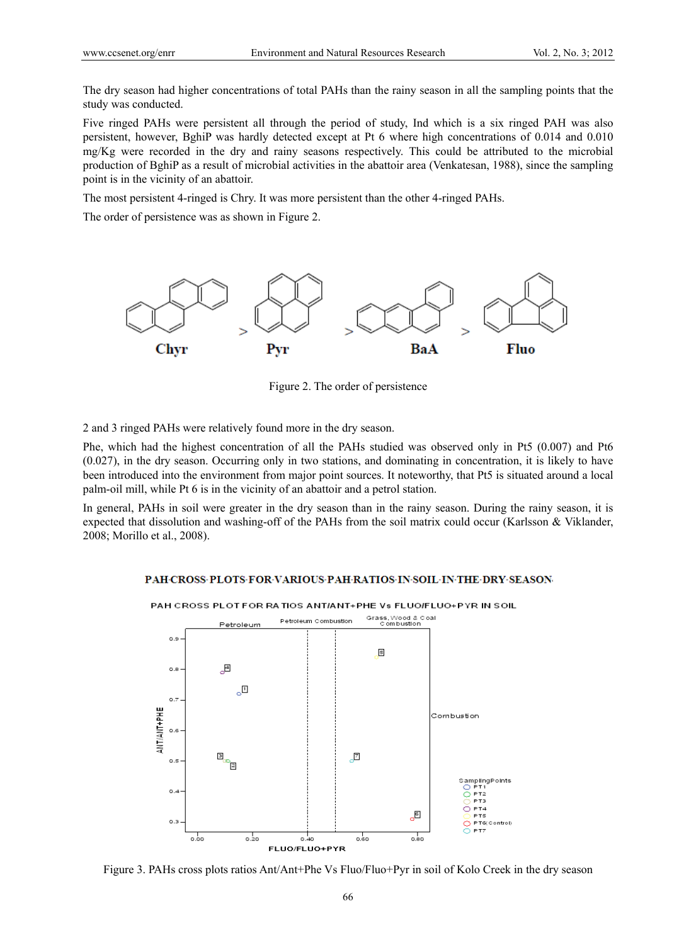The dry season had higher concentrations of total PAHs than the rainy season in all the sampling points that the study was conducted.

Five ringed PAHs were persistent all through the period of study, Ind which is a six ringed PAH was also persistent, however, BghiP was hardly detected except at Pt 6 where high concentrations of 0.014 and 0.010 mg/Kg were recorded in the dry and rainy seasons respectively. This could be attributed to the microbial production of BghiP as a result of microbial activities in the abattoir area (Venkatesan, 1988), since the sampling point is in the vicinity of an abattoir.

The most persistent 4-ringed is Chry. It was more persistent than the other 4-ringed PAHs.

The order of persistence was as shown in Figure 2.



Figure 2. The order of persistence

2 and 3 ringed PAHs were relatively found more in the dry season.

Phe, which had the highest concentration of all the PAHs studied was observed only in Pt5 (0.007) and Pt6 (0.027), in the dry season. Occurring only in two stations, and dominating in concentration, it is likely to have been introduced into the environment from major point sources. It noteworthy, that Pt5 is situated around a local palm-oil mill, while Pt 6 is in the vicinity of an abattoir and a petrol station.

In general, PAHs in soil were greater in the dry season than in the rainy season. During the rainy season, it is expected that dissolution and washing-off of the PAHs from the soil matrix could occur (Karlsson & Viklander, 2008; Morillo et al., 2008).

#### PAH-CROSS-PLOTS-FOR-VARIOUS-PAH-RATIOS-IN-SOIL-IN-THE-DRY-SEASON-



Figure 3. PAHs cross plots ratios Ant/Ant+Phe Vs Fluo/Fluo+Pyr in soil of Kolo Creek in the dry season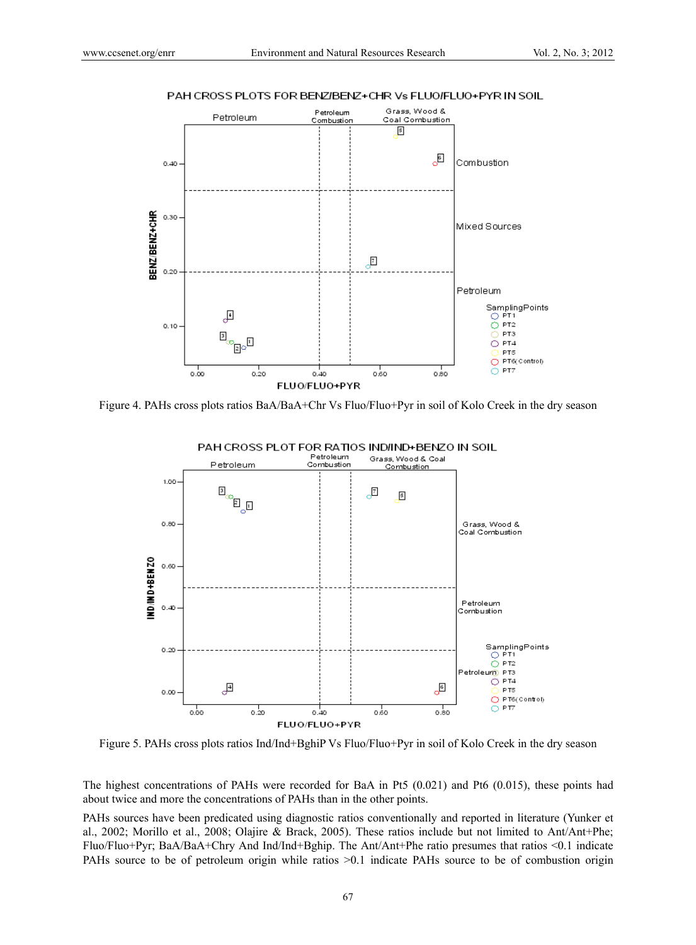

PAH CROSS PLOTS FOR BENZ/BENZ+CHR Vs FLUO/FLUO+PYR IN SOIL

Figure 4. PAHs cross plots ratios BaA/BaA+Chr Vs Fluo/Fluo+Pyr in soil of Kolo Creek in the dry season



Figure 5. PAHs cross plots ratios Ind/Ind+BghiP Vs Fluo/Fluo+Pyr in soil of Kolo Creek in the dry season

The highest concentrations of PAHs were recorded for BaA in Pt5 (0.021) and Pt6 (0.015), these points had about twice and more the concentrations of PAHs than in the other points.

PAHs sources have been predicated using diagnostic ratios conventionally and reported in literature (Yunker et al., 2002; Morillo et al., 2008; Olajire & Brack, 2005). These ratios include but not limited to Ant/Ant+Phe; Fluo/Fluo+Pyr; BaA/BaA+Chry And Ind/Ind+Bghip. The Ant/Ant+Phe ratio presumes that ratios <0.1 indicate PAHs source to be of petroleum origin while ratios  $>0.1$  indicate PAHs source to be of combustion origin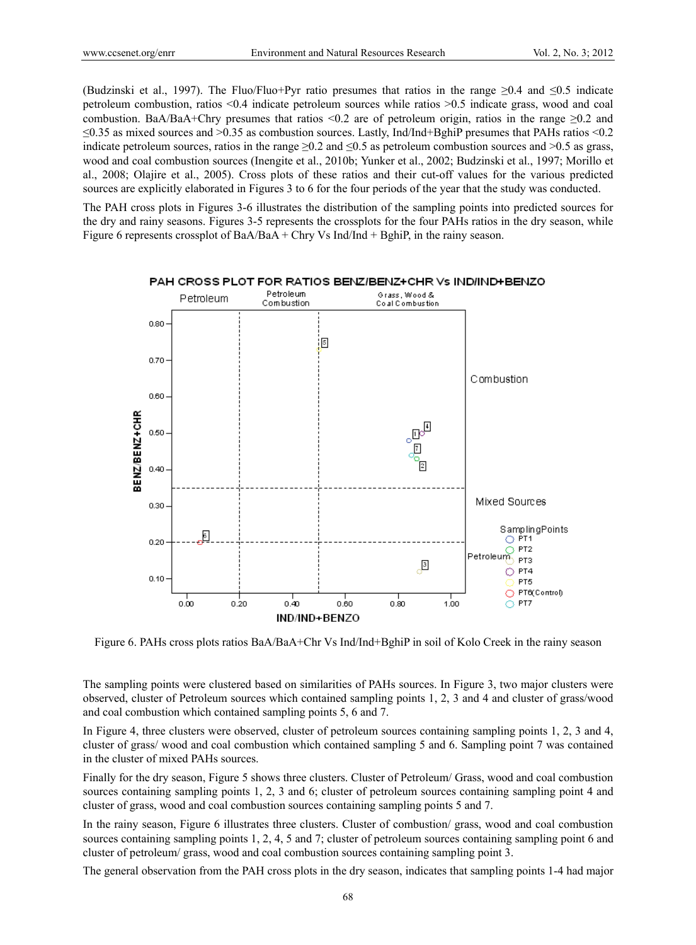(Budzinski et al., 1997). The Fluo/Fluo+Pyr ratio presumes that ratios in the range  $\geq 0.4$  and  $\leq 0.5$  indicate petroleum combustion, ratios <0.4 indicate petroleum sources while ratios >0.5 indicate grass, wood and coal combustion. BaA/BaA+Chry presumes that ratios <0.2 are of petroleum origin, ratios in the range  $\geq 0.2$  and ≤0.35 as mixed sources and >0.35 as combustion sources. Lastly, Ind/Ind+BghiP presumes that PAHs ratios <0.2 indicate petroleum sources, ratios in the range  $\geq 0.2$  and  $\leq 0.5$  as petroleum combustion sources and  $\geq 0.5$  as grass, wood and coal combustion sources (Inengite et al., 2010b; Yunker et al., 2002; Budzinski et al., 1997; Morillo et al., 2008; Olajire et al., 2005). Cross plots of these ratios and their cut-off values for the various predicted sources are explicitly elaborated in Figures 3 to 6 for the four periods of the year that the study was conducted.

The PAH cross plots in Figures 3-6 illustrates the distribution of the sampling points into predicted sources for the dry and rainy seasons. Figures 3-5 represents the crossplots for the four PAHs ratios in the dry season, while Figure 6 represents crossplot of BaA/BaA + Chry Vs Ind/Ind + BghiP, in the rainy season.



Figure 6. PAHs cross plots ratios BaA/BaA+Chr Vs Ind/Ind+BghiP in soil of Kolo Creek in the rainy season

The sampling points were clustered based on similarities of PAHs sources. In Figure 3, two major clusters were observed, cluster of Petroleum sources which contained sampling points 1, 2, 3 and 4 and cluster of grass/wood and coal combustion which contained sampling points 5, 6 and 7.

In Figure 4, three clusters were observed, cluster of petroleum sources containing sampling points 1, 2, 3 and 4, cluster of grass/ wood and coal combustion which contained sampling 5 and 6. Sampling point 7 was contained in the cluster of mixed PAHs sources.

Finally for the dry season, Figure 5 shows three clusters. Cluster of Petroleum/ Grass, wood and coal combustion sources containing sampling points 1, 2, 3 and 6; cluster of petroleum sources containing sampling point 4 and cluster of grass, wood and coal combustion sources containing sampling points 5 and 7.

In the rainy season, Figure 6 illustrates three clusters. Cluster of combustion/ grass, wood and coal combustion sources containing sampling points 1, 2, 4, 5 and 7; cluster of petroleum sources containing sampling point 6 and cluster of petroleum/ grass, wood and coal combustion sources containing sampling point 3.

The general observation from the PAH cross plots in the dry season, indicates that sampling points 1-4 had major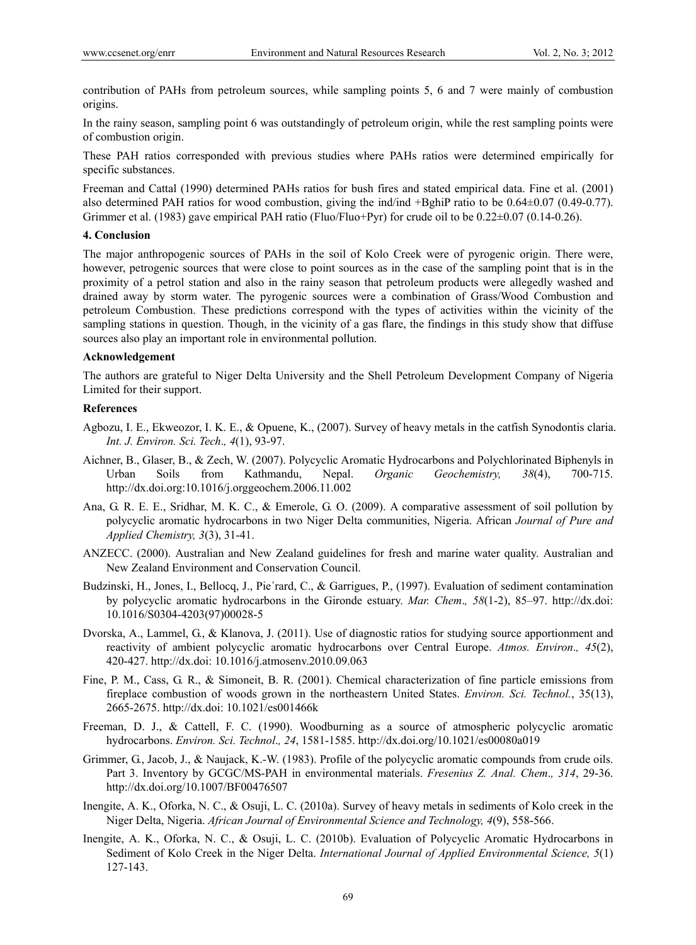contribution of PAHs from petroleum sources, while sampling points 5, 6 and 7 were mainly of combustion origins.

In the rainy season, sampling point 6 was outstandingly of petroleum origin, while the rest sampling points were of combustion origin.

These PAH ratios corresponded with previous studies where PAHs ratios were determined empirically for specific substances.

Freeman and Cattal (1990) determined PAHs ratios for bush fires and stated empirical data. Fine et al. (2001) also determined PAH ratios for wood combustion, giving the ind/ind +BghiP ratio to be 0.64±0.07 (0.49-0.77). Grimmer et al. (1983) gave empirical PAH ratio (Fluo/Fluo+Pyr) for crude oil to be 0.22±0.07 (0.14-0.26).

## **4. Conclusion**

The major anthropogenic sources of PAHs in the soil of Kolo Creek were of pyrogenic origin. There were, however, petrogenic sources that were close to point sources as in the case of the sampling point that is in the proximity of a petrol station and also in the rainy season that petroleum products were allegedly washed and drained away by storm water. The pyrogenic sources were a combination of Grass/Wood Combustion and petroleum Combustion. These predictions correspond with the types of activities within the vicinity of the sampling stations in question. Though, in the vicinity of a gas flare, the findings in this study show that diffuse sources also play an important role in environmental pollution.

#### **Acknowledgement**

The authors are grateful to Niger Delta University and the Shell Petroleum Development Company of Nigeria Limited for their support.

## **References**

- Agbozu, I. E., Ekweozor, I. K. E., & Opuene, K., (2007). Survey of heavy metals in the catfish Synodontis claria. *Int. J. Environ. Sci. Tech*.*, 4*(1), 93-97.
- Aichner, B., Glaser, B., & Zech, W. (2007). Polycyclic Aromatic Hydrocarbons and Polychlorinated Biphenyls in Urban Soils from Kathmandu, Nepal. *Organic Geochemistry, 38*(4), 700-715. http://dx.doi.org:10.1016/j.orggeochem.2006.11.002
- Ana, G. R. E. E., Sridhar, M. K. C., & Emerole, G. O. (2009). A comparative assessment of soil pollution by polycyclic aromatic hydrocarbons in two Niger Delta communities, Nigeria. African *Journal of Pure and Applied Chemistry, 3*(3), 31-41.
- ANZECC. (2000). Australian and New Zealand guidelines for fresh and marine water quality. Australian and New Zealand Environment and Conservation Council.
- Budzinski, H., Jones, I., Bellocq, J., Pie´rard, C., & Garrigues, P., (1997). Evaluation of sediment contamination by polycyclic aromatic hydrocarbons in the Gironde estuary. *Mar. Chem*.*, 58*(1-2), 85–97. http://dx.doi: 10.1016/S0304-4203(97)00028-5
- Dvorska, A., Lammel, G., & Klanova, J. (2011). Use of diagnostic ratios for studying source apportionment and reactivity of ambient polycyclic aromatic hydrocarbons over Central Europe. *Atmos. Environ*.*, 45*(2), 420-427. http://dx.doi: 10.1016/j.atmosenv.2010.09.063
- Fine, P. M., Cass, G. R., & Simoneit, B. R. (2001). Chemical characterization of fine particle emissions from fireplace combustion of woods grown in the northeastern United States. *Environ. Sci. Technol.*, 35(13), 2665-2675. http://dx.doi: 10.1021/es001466k
- Freeman, D. J., & Cattell, F. C. (1990). Woodburning as a source of atmospheric polycyclic aromatic hydrocarbons. *Environ. Sci. Technol*.*, 24*, 1581-1585. http://dx.doi.org/10.1021/es00080a019
- Grimmer, G., Jacob, J., & Naujack, K.-W. (1983). Profile of the polycyclic aromatic compounds from crude oils. Part 3. Inventory by GCGC/MS-PAH in environmental materials. *Fresenius Z. Anal. Chem*.*, 314*, 29-36. http://dx.doi.org/10.1007/BF00476507
- Inengite, A. K., Oforka, N. C., & Osuji, L. C. (2010a). Survey of heavy metals in sediments of Kolo creek in the Niger Delta, Nigeria. *African Journal of Environmental Science and Technology, 4*(9), 558-566.
- Inengite, A. K., Oforka, N. C., & Osuji, L. C. (2010b). Evaluation of Polycyclic Aromatic Hydrocarbons in Sediment of Kolo Creek in the Niger Delta. *International Journal of Applied Environmental Science, 5*(1) 127-143.